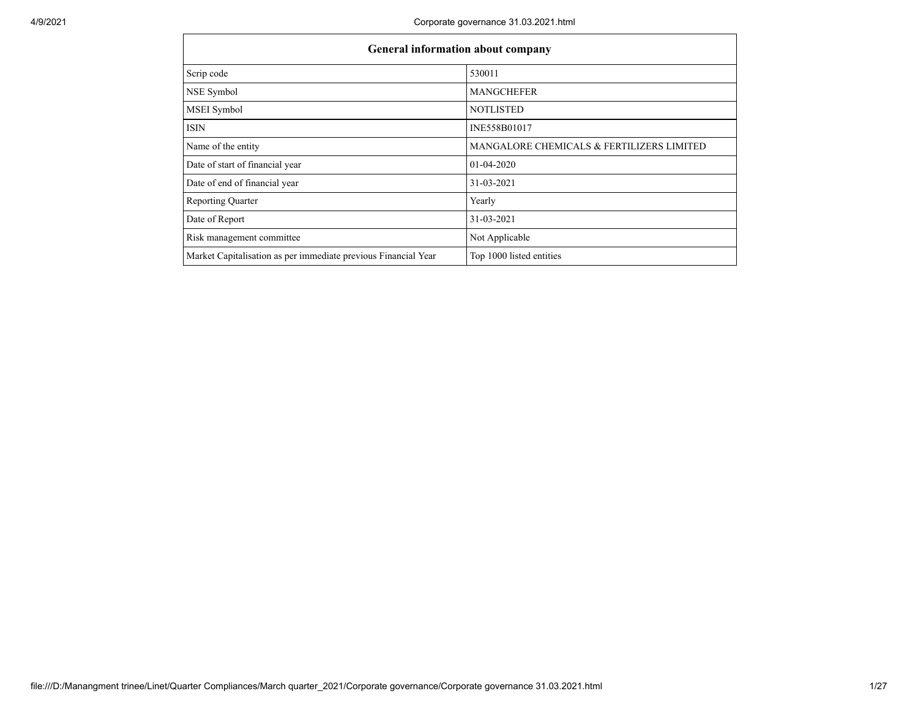| <b>General information about company</b>                       |                                           |
|----------------------------------------------------------------|-------------------------------------------|
| Scrip code                                                     | 530011                                    |
| NSE Symbol                                                     | <b>MANGCHEFER</b>                         |
| MSEI Symbol                                                    | <b>NOTLISTED</b>                          |
| <b>ISIN</b>                                                    | INE558B01017                              |
| Name of the entity                                             | MANGALORE CHEMICALS & FERTILIZERS LIMITED |
| Date of start of financial year                                | 01-04-2020                                |
| Date of end of financial year                                  | 31-03-2021                                |
| <b>Reporting Quarter</b>                                       | Yearly                                    |
| Date of Report                                                 | 31-03-2021                                |
| Risk management committee                                      | Not Applicable                            |
| Market Capitalisation as per immediate previous Financial Year | Top 1000 listed entities                  |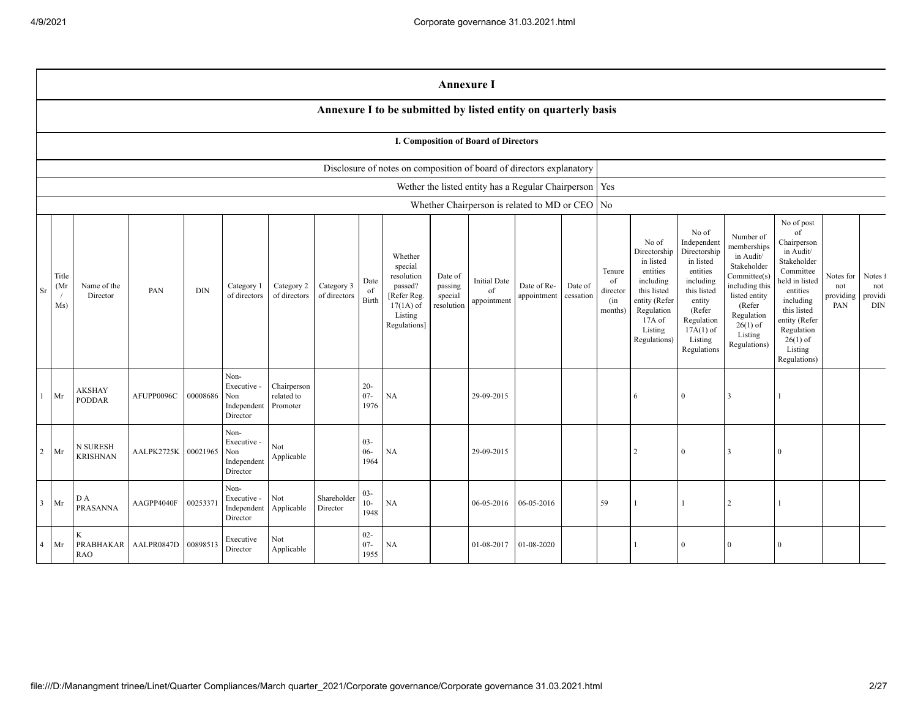|                |                                   |                                |                     |            |                                                       |                                       |                            |                          |                                                                                                      | <b>Annexure I</b>                           |                                                          |                            |                      |                                            |                                                                                                                                                |                                                                                                                                                                      |                                                                                                                                                                          |                                                                                                                                                                                                            |                                      |                                  |
|----------------|-----------------------------------|--------------------------------|---------------------|------------|-------------------------------------------------------|---------------------------------------|----------------------------|--------------------------|------------------------------------------------------------------------------------------------------|---------------------------------------------|----------------------------------------------------------|----------------------------|----------------------|--------------------------------------------|------------------------------------------------------------------------------------------------------------------------------------------------|----------------------------------------------------------------------------------------------------------------------------------------------------------------------|--------------------------------------------------------------------------------------------------------------------------------------------------------------------------|------------------------------------------------------------------------------------------------------------------------------------------------------------------------------------------------------------|--------------------------------------|----------------------------------|
|                |                                   |                                |                     |            |                                                       |                                       |                            |                          | Annexure I to be submitted by listed entity on quarterly basis                                       |                                             |                                                          |                            |                      |                                            |                                                                                                                                                |                                                                                                                                                                      |                                                                                                                                                                          |                                                                                                                                                                                                            |                                      |                                  |
|                |                                   |                                |                     |            |                                                       |                                       |                            |                          |                                                                                                      |                                             | <b>I. Composition of Board of Directors</b>              |                            |                      |                                            |                                                                                                                                                |                                                                                                                                                                      |                                                                                                                                                                          |                                                                                                                                                                                                            |                                      |                                  |
|                |                                   |                                |                     |            |                                                       |                                       |                            |                          | Disclosure of notes on composition of board of directors explanatory                                 |                                             |                                                          |                            |                      |                                            |                                                                                                                                                |                                                                                                                                                                      |                                                                                                                                                                          |                                                                                                                                                                                                            |                                      |                                  |
|                |                                   |                                |                     |            |                                                       |                                       |                            |                          |                                                                                                      |                                             | Wether the listed entity has a Regular Chairperson   Yes |                            |                      |                                            |                                                                                                                                                |                                                                                                                                                                      |                                                                                                                                                                          |                                                                                                                                                                                                            |                                      |                                  |
|                |                                   |                                |                     |            |                                                       |                                       |                            |                          |                                                                                                      |                                             | Whether Chairperson is related to MD or CEO No           |                            |                      |                                            |                                                                                                                                                |                                                                                                                                                                      |                                                                                                                                                                          |                                                                                                                                                                                                            |                                      |                                  |
| Sr             | Title<br>(Mr<br>$\sqrt{2}$<br>Ms) | Name of the<br>Director        | PAN                 | <b>DIN</b> | Category 1<br>of directors                            | Category 2<br>of directors            | Category 3<br>of directors | Date<br>of<br>Birth      | Whether<br>special<br>resolution<br>passed?<br>[Refer Reg.<br>$17(1A)$ of<br>Listing<br>Regulations] | Date of<br>passing<br>special<br>resolution | <b>Initial Date</b><br>of<br>appointment                 | Date of Re-<br>appointment | Date of<br>cessation | Tenure<br>of<br>director<br>(in<br>months) | No of<br>Directorship<br>in listed<br>entities<br>including<br>this listed<br>entity (Refer<br>Regulation<br>17A of<br>Listing<br>Regulations) | No of<br>Independent<br>Directorship<br>in listed<br>entities<br>including<br>this listed<br>entity<br>(Refer<br>Regulation<br>$17A(1)$ of<br>Listing<br>Regulations | Number of<br>memberships<br>in Audit/<br>Stakeholder<br>Committee(s)<br>including this<br>listed entity<br>(Refer<br>Regulation<br>$26(1)$ of<br>Listing<br>Regulations) | No of post<br>of<br>Chairperson<br>in Audit/<br>Stakeholder<br>Committee<br>held in listed<br>entities<br>including<br>this listed<br>entity (Refer<br>Regulation<br>$26(1)$ of<br>Listing<br>Regulations) | Notes for<br>not<br>providing<br>PAN | Notes 1<br>not<br>providi<br>DIN |
| $\mathbf{1}$   | Mr                                | <b>AKSHAY</b><br><b>PODDAR</b> | AFUPP0096C          | 00008686   | Non-<br>Executive -<br>Non<br>Independent<br>Director | Chairperson<br>related to<br>Promoter |                            | $20 -$<br>$07 -$<br>1976 | <b>NA</b>                                                                                            |                                             | 29-09-2015                                               |                            |                      |                                            | 6                                                                                                                                              | $\overline{0}$                                                                                                                                                       | 3                                                                                                                                                                        |                                                                                                                                                                                                            |                                      |                                  |
| $\overline{2}$ | Mr                                | N SURESH<br><b>KRISHNAN</b>    | AALPK2725K 00021965 |            | Non-<br>Executive -<br>Non<br>Independent<br>Director | Not<br>Applicable                     |                            | $03 -$<br>$06 -$<br>1964 | NA                                                                                                   |                                             | 29-09-2015                                               |                            |                      |                                            | $\overline{2}$                                                                                                                                 | $\overline{0}$                                                                                                                                                       | 3                                                                                                                                                                        | $\theta$                                                                                                                                                                                                   |                                      |                                  |
| $\mathbf{3}$   | Mr                                | D A<br><b>PRASANNA</b>         | AAGPP4040F          | 00253371   | Non-<br>Executive -<br>Independent<br>Director        | Not<br>Applicable                     | Shareholder<br>Director    | $03 -$<br>$10-$<br>1948  | NA                                                                                                   |                                             | 06-05-2016                                               | 06-05-2016                 |                      | 59                                         |                                                                                                                                                |                                                                                                                                                                      | $\overline{2}$                                                                                                                                                           |                                                                                                                                                                                                            |                                      |                                  |
| $\overline{4}$ | Mr                                | K<br>PRABHAKAR<br><b>RAO</b>   | AALPR0847D          | 00898513   | Executive<br>Director                                 | Not<br>Applicable                     |                            | $02 -$<br>$07 -$<br>1955 | NA                                                                                                   |                                             | 01-08-2017                                               | 01-08-2020                 |                      |                                            |                                                                                                                                                |                                                                                                                                                                      | $\Omega$                                                                                                                                                                 | $\mathbf{0}$                                                                                                                                                                                               |                                      |                                  |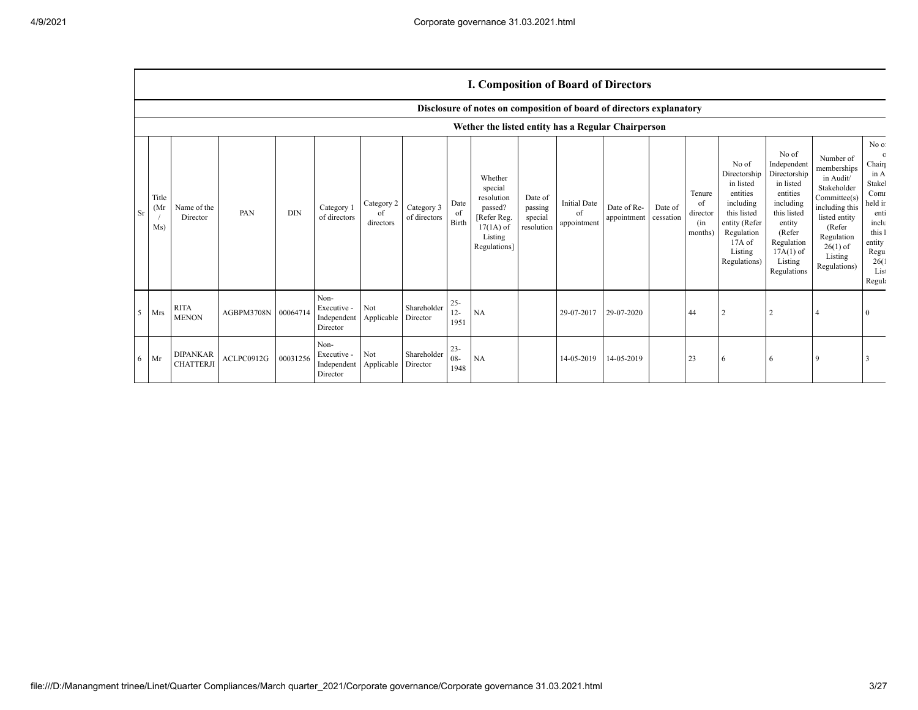## **I. Composition of Board of Directors**

|                |                      |                                     |                     |            |                                                           |                               |                            |                          | Disclosure of notes on composition of board of directors explanatory                                 |                                             |                                          |                            |                      |                                            |                                                                                                                                                  |                                                                                                                                                                      |                                                                                                                                                                          |                                                                                                                                          |
|----------------|----------------------|-------------------------------------|---------------------|------------|-----------------------------------------------------------|-------------------------------|----------------------------|--------------------------|------------------------------------------------------------------------------------------------------|---------------------------------------------|------------------------------------------|----------------------------|----------------------|--------------------------------------------|--------------------------------------------------------------------------------------------------------------------------------------------------|----------------------------------------------------------------------------------------------------------------------------------------------------------------------|--------------------------------------------------------------------------------------------------------------------------------------------------------------------------|------------------------------------------------------------------------------------------------------------------------------------------|
|                |                      |                                     |                     |            |                                                           |                               |                            |                          | Wether the listed entity has a Regular Chairperson                                                   |                                             |                                          |                            |                      |                                            |                                                                                                                                                  |                                                                                                                                                                      |                                                                                                                                                                          |                                                                                                                                          |
| Sr             | Title<br>(Mr)<br>Ms) | Name of the<br>Director             | PAN                 | <b>DIN</b> | Category 1<br>of directors                                | Category 2<br>of<br>directors | Category 3<br>of directors | Date<br>of<br>Birth      | Whether<br>special<br>resolution<br>passed?<br>[Refer Reg.<br>$17(1A)$ of<br>Listing<br>Regulations] | Date of<br>passing<br>special<br>resolution | <b>Initial Date</b><br>of<br>appointment | Date of Re-<br>appointment | Date of<br>cessation | Tenure<br>of<br>director<br>(in<br>months) | No of<br>Directorship<br>in listed<br>entities<br>including<br>this listed<br>entity (Refer<br>Regulation<br>$17A$ of<br>Listing<br>Regulations) | No of<br>Independent<br>Directorship<br>in listed<br>entities<br>including<br>this listed<br>entity<br>(Refer<br>Regulation<br>$17A(1)$ of<br>Listing<br>Regulations | Number of<br>memberships<br>in Audit/<br>Stakeholder<br>Committee(s)<br>including this<br>listed entity<br>(Refer<br>Regulation<br>$26(1)$ of<br>Listing<br>Regulations) | No of<br>$\Omega$<br>Chairp<br>in A<br>Stakel<br>Comr<br>held in<br>enti<br>inclu<br>this 1<br>entity<br>Regu<br>26(1)<br>List<br>Regula |
| 5 <sup>5</sup> | Mrs                  | <b>RITA</b><br><b>MENON</b>         | AGBPM3708N 00064714 |            | Non-<br>Executive -<br>Independent<br>Director            | Not<br>Applicable             | Shareholder<br>Director    | $25 -$<br>$12 -$<br>1951 | NA                                                                                                   |                                             | 29-07-2017                               | 29-07-2020                 |                      | 44                                         |                                                                                                                                                  |                                                                                                                                                                      |                                                                                                                                                                          |                                                                                                                                          |
| 6              | Mr                   | <b>DIPANKAR</b><br><b>CHATTERJI</b> | ACLPC0912G          | 00031256   | Non-<br>Executive -<br>Independent Applicable<br>Director | Not                           | Shareholder<br>Director    | $23 -$<br>$08 -$<br>1948 | <b>NA</b>                                                                                            |                                             | 14-05-2019                               | 14-05-2019                 |                      | 23                                         | <b>6</b>                                                                                                                                         |                                                                                                                                                                      |                                                                                                                                                                          |                                                                                                                                          |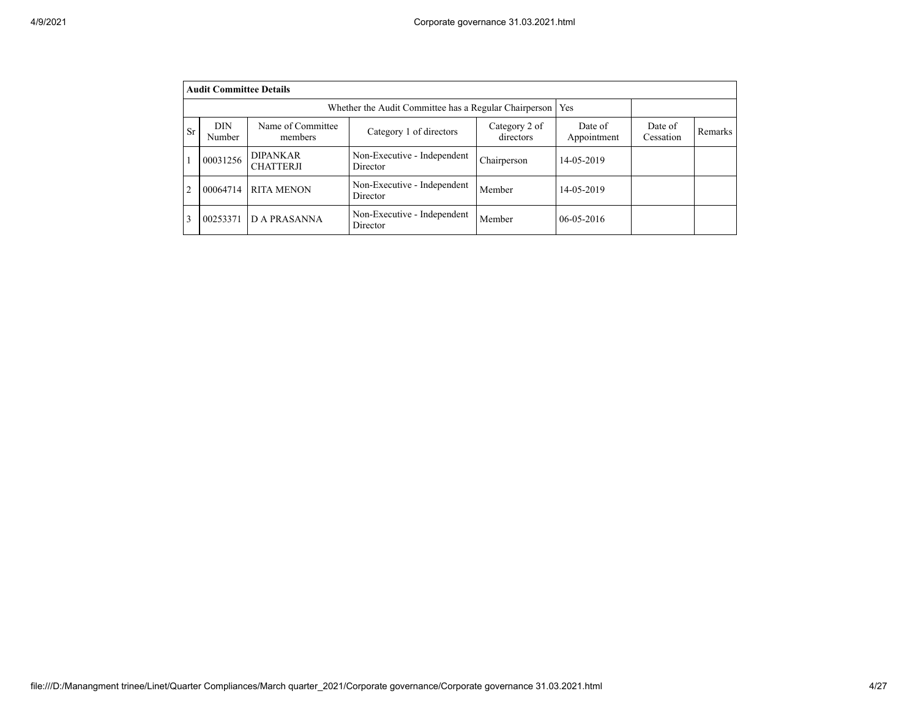|                | <b>Audit Committee Details</b>                                                                                                                                  |                                     |                                         |             |                  |  |  |  |  |  |  |  |
|----------------|-----------------------------------------------------------------------------------------------------------------------------------------------------------------|-------------------------------------|-----------------------------------------|-------------|------------------|--|--|--|--|--|--|--|
|                | Whether the Audit Committee has a Regular Chairperson<br>Yes                                                                                                    |                                     |                                         |             |                  |  |  |  |  |  |  |  |
| <b>Sr</b>      | <b>DIN</b><br>Name of Committee<br>Category 2 of<br>Date of<br>Date of<br>Category 1 of directors<br>directors<br>Appointment<br>Cessation<br>Number<br>members |                                     |                                         |             |                  |  |  |  |  |  |  |  |
|                | 00031256                                                                                                                                                        | <b>DIPANKAR</b><br><b>CHATTERJI</b> | Non-Executive - Independent<br>Director | Chairperson | 14-05-2019       |  |  |  |  |  |  |  |
| $\overline{c}$ | 00064714                                                                                                                                                        | <b>RITA MENON</b>                   | Member                                  | 14-05-2019  |                  |  |  |  |  |  |  |  |
| 3              | 00253371                                                                                                                                                        | <b>D A PRASANNA</b>                 | Non-Executive - Independent<br>Director | Member      | $06 - 05 - 2016$ |  |  |  |  |  |  |  |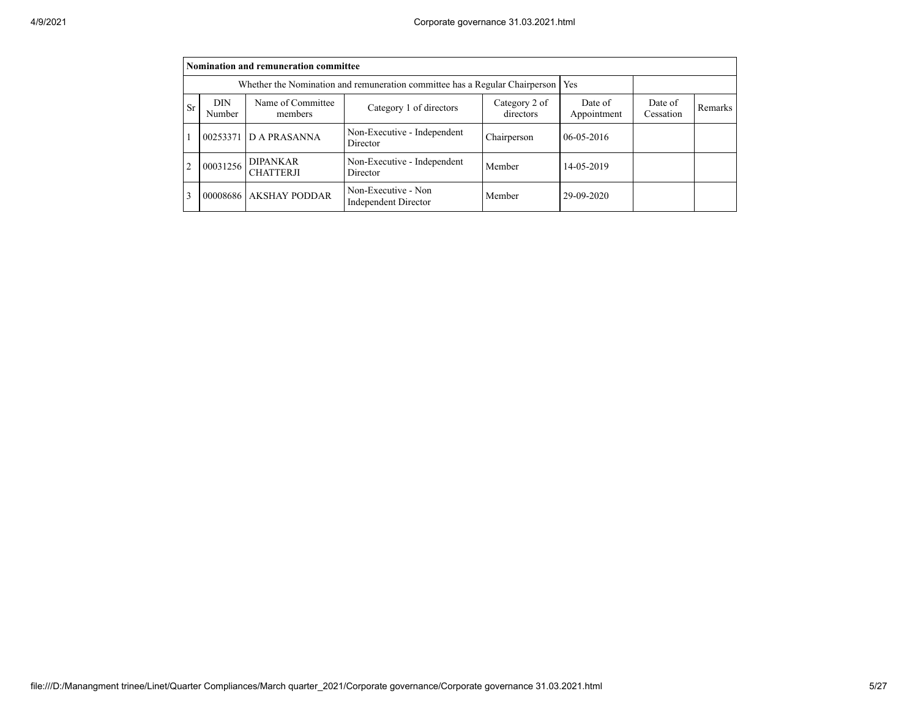|                | Nomination and remuneration committee                                                                                                                    |                                     |                                                    |             |                  |  |  |  |  |  |  |  |
|----------------|----------------------------------------------------------------------------------------------------------------------------------------------------------|-------------------------------------|----------------------------------------------------|-------------|------------------|--|--|--|--|--|--|--|
|                | Whether the Nomination and remuneration committee has a Regular Chairperson                                                                              |                                     |                                                    |             |                  |  |  |  |  |  |  |  |
| <b>Sr</b>      | Name of Committee<br>Category 2 of<br>Date of<br>DIN<br>Date of<br>Category 1 of directors<br>directors<br>Appointment<br>Cessation<br>Number<br>members |                                     |                                                    |             |                  |  |  |  |  |  |  |  |
|                |                                                                                                                                                          | 00253371 D A PRASANNA               | Non-Executive - Independent<br>Director            | Chairperson | $06 - 05 - 2016$ |  |  |  |  |  |  |  |
| $\overline{c}$ | 00031256                                                                                                                                                 | <b>DIPANKAR</b><br><b>CHATTERJI</b> | Non-Executive - Independent<br>Director            | Member      | 14-05-2019       |  |  |  |  |  |  |  |
| 3              |                                                                                                                                                          | 00008686 AKSHAY PODDAR              | Non-Executive - Non<br><b>Independent Director</b> | Member      | 29-09-2020       |  |  |  |  |  |  |  |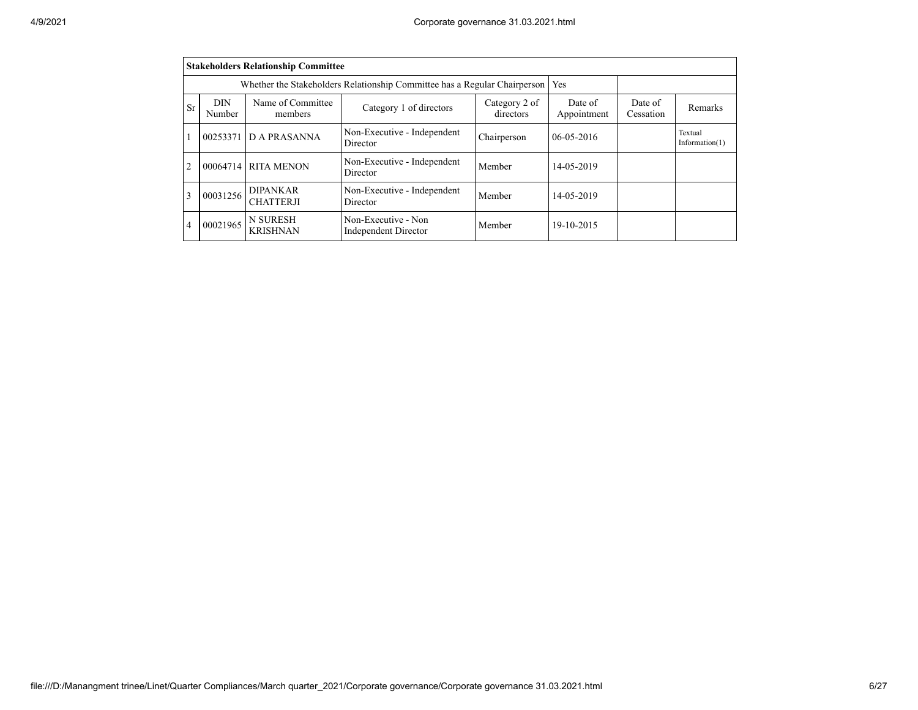|                                                                                                                                                                                  | <b>Stakeholders Relationship Committee</b>                                                                                   |                     |                                         |             |                  |  |                              |  |  |  |  |
|----------------------------------------------------------------------------------------------------------------------------------------------------------------------------------|------------------------------------------------------------------------------------------------------------------------------|---------------------|-----------------------------------------|-------------|------------------|--|------------------------------|--|--|--|--|
|                                                                                                                                                                                  | Whether the Stakeholders Relationship Committee has a Regular Chairperson<br>Yes                                             |                     |                                         |             |                  |  |                              |  |  |  |  |
| Name of Committee<br><b>DIN</b><br>Category 2 of<br>Date of<br>Date of<br>Sr<br>Category 1 of directors<br>Remarks<br>directors<br>Appointment<br>Cessation<br>Number<br>members |                                                                                                                              |                     |                                         |             |                  |  |                              |  |  |  |  |
|                                                                                                                                                                                  | 00253371                                                                                                                     | D A PRASANNA        | Non-Executive - Independent<br>Director | Chairperson | $06 - 05 - 2016$ |  | Textual<br>Information $(1)$ |  |  |  |  |
| $\overline{2}$                                                                                                                                                                   |                                                                                                                              | 00064714 RITA MENON | Non-Executive - Independent<br>Director | Member      | 14-05-2019       |  |                              |  |  |  |  |
| 3                                                                                                                                                                                | <b>DIPANKAR</b><br>Non-Executive - Independent<br>00031256<br>Member<br>14-05-2019<br><b>CHATTERJI</b><br>Director           |                     |                                         |             |                  |  |                              |  |  |  |  |
| 4                                                                                                                                                                                | <b>N SURESH</b><br>Non-Executive - Non<br>00021965<br>Member<br>19-10-2015<br><b>KRISHNAN</b><br><b>Independent Director</b> |                     |                                         |             |                  |  |                              |  |  |  |  |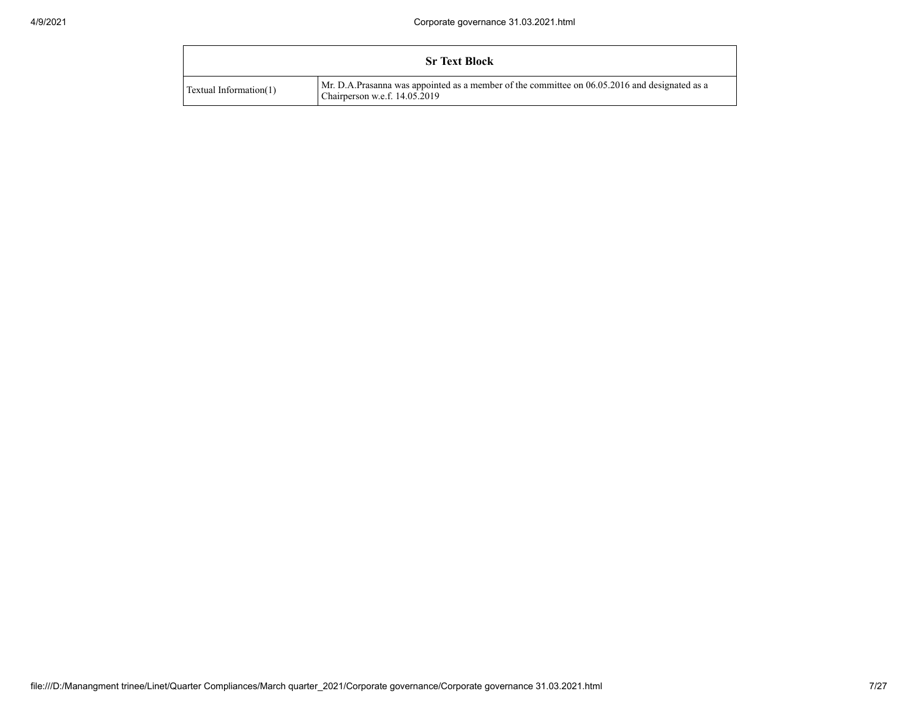|                        | <b>Sr Text Block</b>                                                                                                           |
|------------------------|--------------------------------------------------------------------------------------------------------------------------------|
| Textual Information(1) | Mr. D.A.Prasanna was appointed as a member of the committee on 06.05.2016 and designated as a<br>Chairperson w.e.f. 14.05.2019 |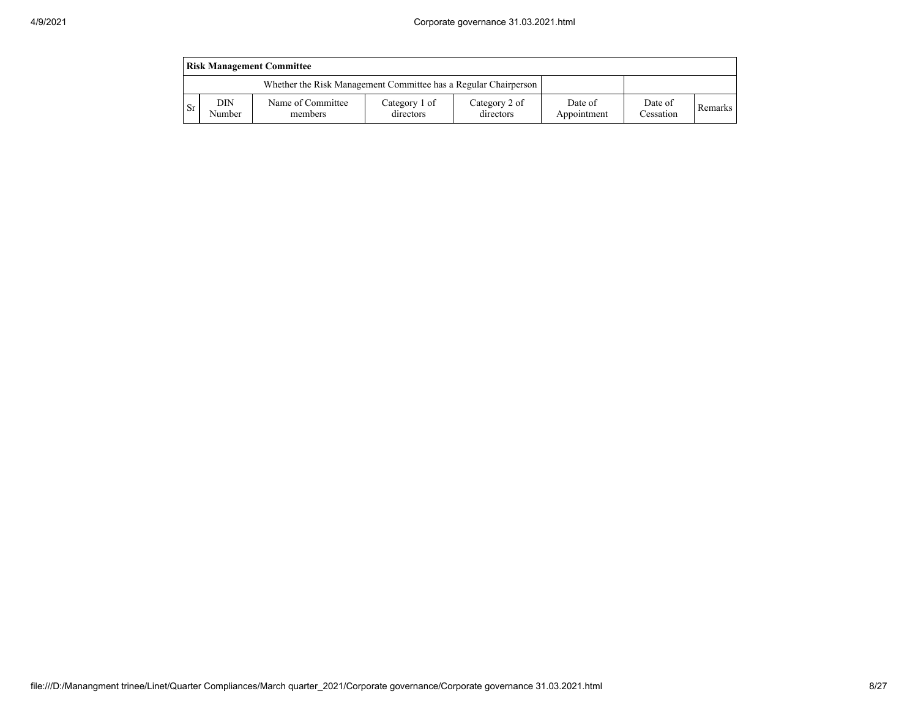| <b>Risk Management Committee</b> |               |                                                                 |                            |                            |                        |                      |         |  |  |  |  |
|----------------------------------|---------------|-----------------------------------------------------------------|----------------------------|----------------------------|------------------------|----------------------|---------|--|--|--|--|
|                                  |               | Whether the Risk Management Committee has a Regular Chairperson |                            |                            |                        |                      |         |  |  |  |  |
| -Sr                              | DIN<br>Number | Name of Committee<br>members                                    | Category 1 of<br>directors | Category 2 of<br>directors | Date of<br>Appointment | Date of<br>Cessation | Remarks |  |  |  |  |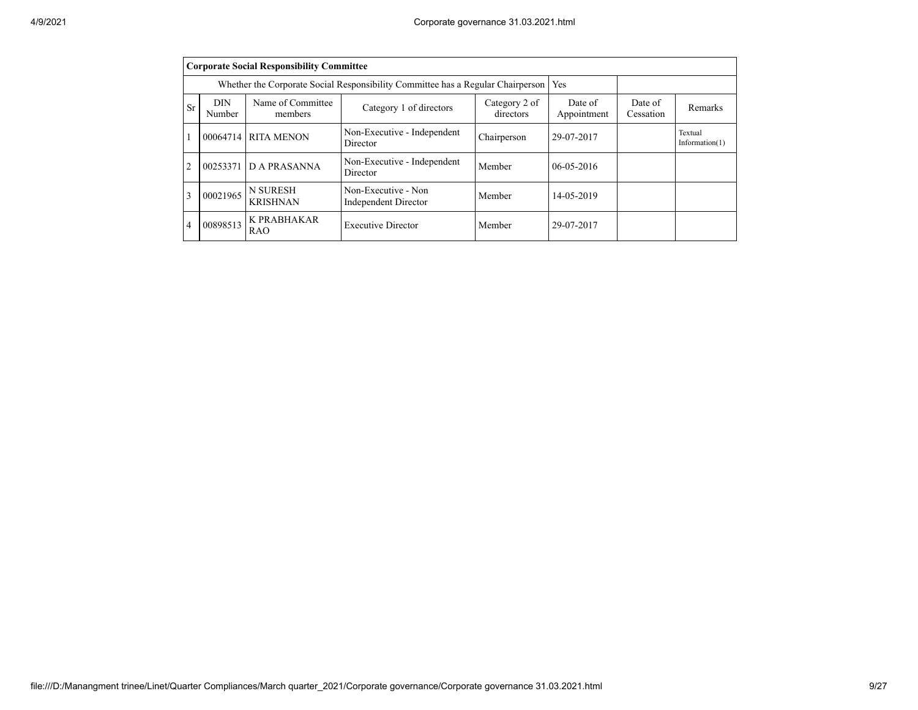|                | <b>Corporate Social Responsibility Committee</b>                                                                             |                                                                                 |                                         |                      |                  |  |                              |  |  |  |  |  |
|----------------|------------------------------------------------------------------------------------------------------------------------------|---------------------------------------------------------------------------------|-----------------------------------------|----------------------|------------------|--|------------------------------|--|--|--|--|--|
|                |                                                                                                                              | Whether the Corporate Social Responsibility Committee has a Regular Chairperson | Yes                                     |                      |                  |  |                              |  |  |  |  |  |
| Sr             | <b>DIN</b><br>Number                                                                                                         | Name of Committee<br>members                                                    | Date of<br>Appointment                  | Date of<br>Cessation | Remarks          |  |                              |  |  |  |  |  |
|                |                                                                                                                              | 00064714 RITA MENON                                                             | Non-Executive - Independent<br>Director | Chairperson          | 29-07-2017       |  | Textual<br>Information $(1)$ |  |  |  |  |  |
| $\overline{2}$ |                                                                                                                              | 00253371 D A PRASANNA                                                           | Non-Executive - Independent<br>Director | Member               | $06 - 05 - 2016$ |  |                              |  |  |  |  |  |
| 3              | <b>N SURESH</b><br>Non-Executive - Non<br>00021965<br>Member<br>14-05-2019<br><b>KRISHNAN</b><br><b>Independent Director</b> |                                                                                 |                                         |                      |                  |  |                              |  |  |  |  |  |
| 4              | 00898513                                                                                                                     | <b>K PRABHAKAR</b><br><b>RAO</b>                                                | 29-07-2017                              |                      |                  |  |                              |  |  |  |  |  |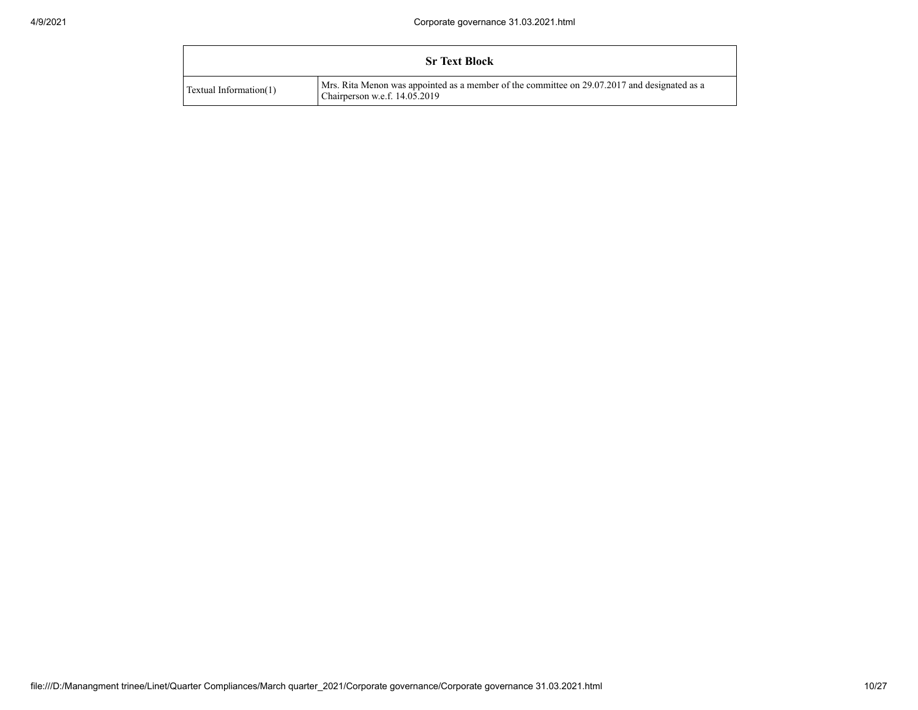|                               | <b>Sr Text Block</b>                                                                                                          |
|-------------------------------|-------------------------------------------------------------------------------------------------------------------------------|
| <b>Textual Information(1)</b> | Mrs. Rita Menon was appointed as a member of the committee on 29.07.2017 and designated as a<br>Chairperson w.e.f. 14.05.2019 |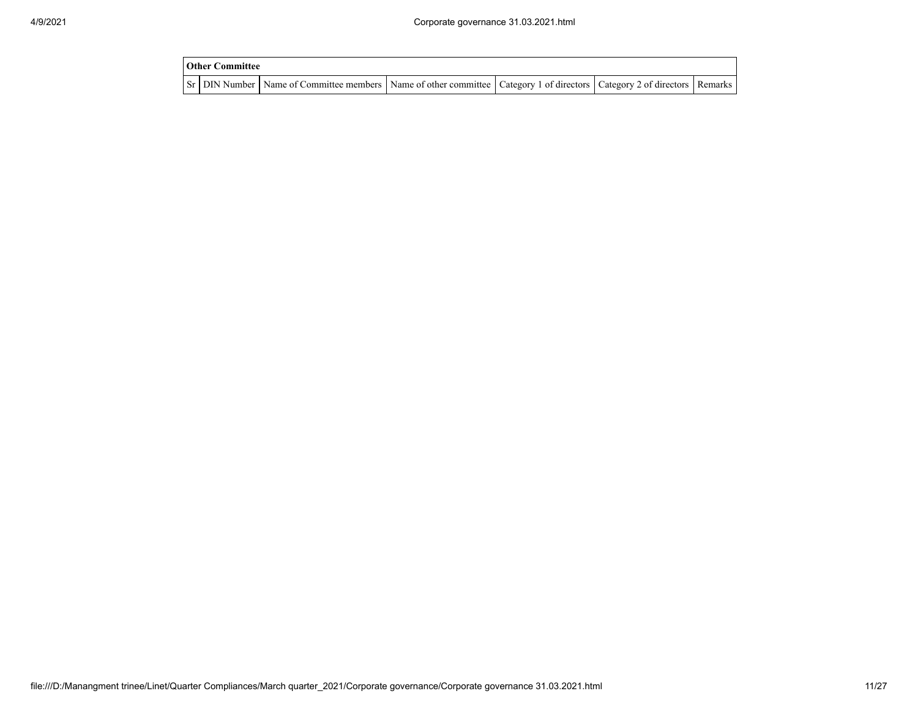| <b>Other Committee</b> |                                                                                                                                     |  |  |
|------------------------|-------------------------------------------------------------------------------------------------------------------------------------|--|--|
|                        | Sr   DIN Number   Name of Committee members   Name of other committee   Category 1 of directors   Category 2 of directors   Remarks |  |  |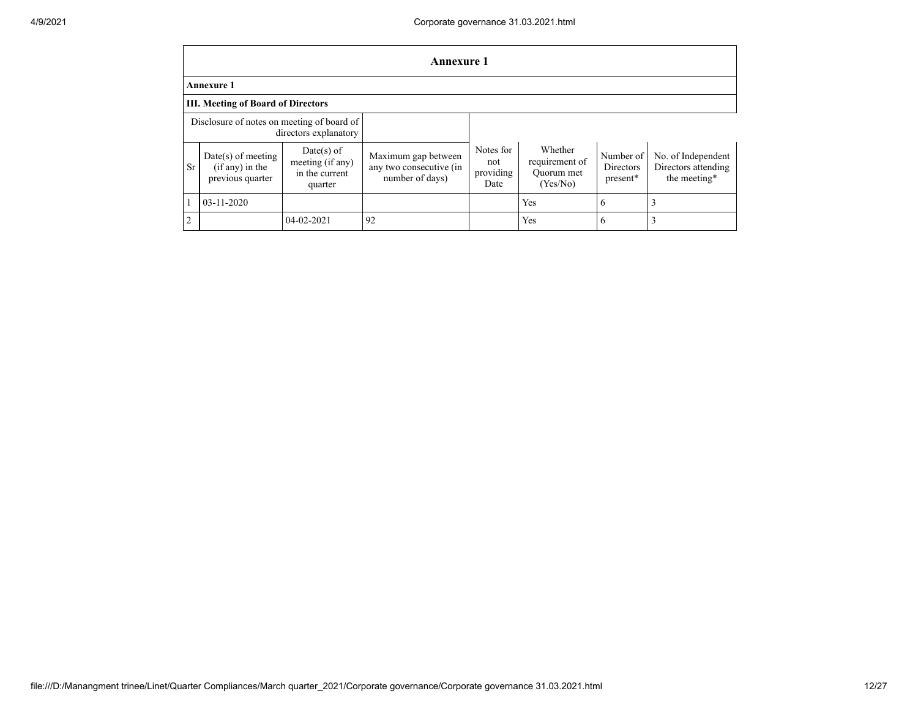|                | <b>Annexure 1</b>                                           |                                                             |                                                                   |                                       |                                                     |                                    |                                                           |  |  |  |  |  |
|----------------|-------------------------------------------------------------|-------------------------------------------------------------|-------------------------------------------------------------------|---------------------------------------|-----------------------------------------------------|------------------------------------|-----------------------------------------------------------|--|--|--|--|--|
|                | <b>Annexure 1</b>                                           |                                                             |                                                                   |                                       |                                                     |                                    |                                                           |  |  |  |  |  |
|                | <b>III. Meeting of Board of Directors</b>                   |                                                             |                                                                   |                                       |                                                     |                                    |                                                           |  |  |  |  |  |
|                | Disclosure of notes on meeting of board of                  | directors explanatory                                       |                                                                   |                                       |                                                     |                                    |                                                           |  |  |  |  |  |
| <b>Sr</b>      | $Date(s)$ of meeting<br>(if any) in the<br>previous quarter | Date(s) of<br>meeting (if any)<br>in the current<br>quarter | Maximum gap between<br>any two consecutive (in<br>number of days) | Notes for<br>not<br>providing<br>Date | Whether<br>requirement of<br>Ouorum met<br>(Yes/No) | Number of<br>Directors<br>present* | No. of Independent<br>Directors attending<br>the meeting* |  |  |  |  |  |
|                | $03 - 11 - 2020$                                            |                                                             |                                                                   |                                       | Yes                                                 | 6                                  |                                                           |  |  |  |  |  |
| $\overline{2}$ |                                                             | 04-02-2021                                                  | 92                                                                |                                       | Yes                                                 | 6                                  |                                                           |  |  |  |  |  |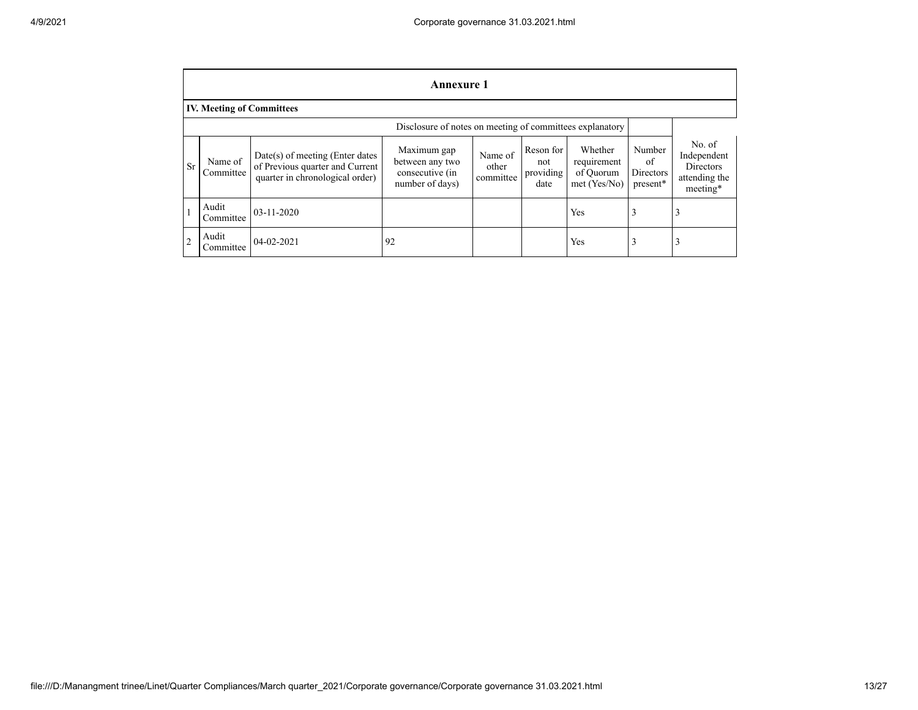|                | <b>Annexure 1</b>                                        |                                                                                                         |                                                                      |                               |                                       |                                                       |                                       |                                                                 |
|----------------|----------------------------------------------------------|---------------------------------------------------------------------------------------------------------|----------------------------------------------------------------------|-------------------------------|---------------------------------------|-------------------------------------------------------|---------------------------------------|-----------------------------------------------------------------|
|                | <b>IV. Meeting of Committees</b>                         |                                                                                                         |                                                                      |                               |                                       |                                                       |                                       |                                                                 |
|                | Disclosure of notes on meeting of committees explanatory |                                                                                                         |                                                                      |                               |                                       |                                                       |                                       |                                                                 |
| <b>Sr</b>      | Name of<br>Committee                                     | $Date(s)$ of meeting (Enter dates<br>of Previous quarter and Current<br>quarter in chronological order) | Maximum gap<br>between any two<br>consecutive (in<br>number of days) | Name of<br>other<br>committee | Reson for<br>not<br>providing<br>date | Whether<br>requirement<br>of Ouorum<br>$met$ (Yes/No) | Number<br>of<br>Directors<br>present* | No. of<br>Independent<br>Directors<br>attending the<br>meeting* |
|                | Audit<br>Committee                                       | $03 - 11 - 2020$                                                                                        |                                                                      |                               |                                       | Yes                                                   |                                       | 3                                                               |
| $\overline{2}$ | Audit<br>Committee                                       | $04 - 02 - 2021$                                                                                        | 92                                                                   |                               |                                       | Yes                                                   |                                       | 3                                                               |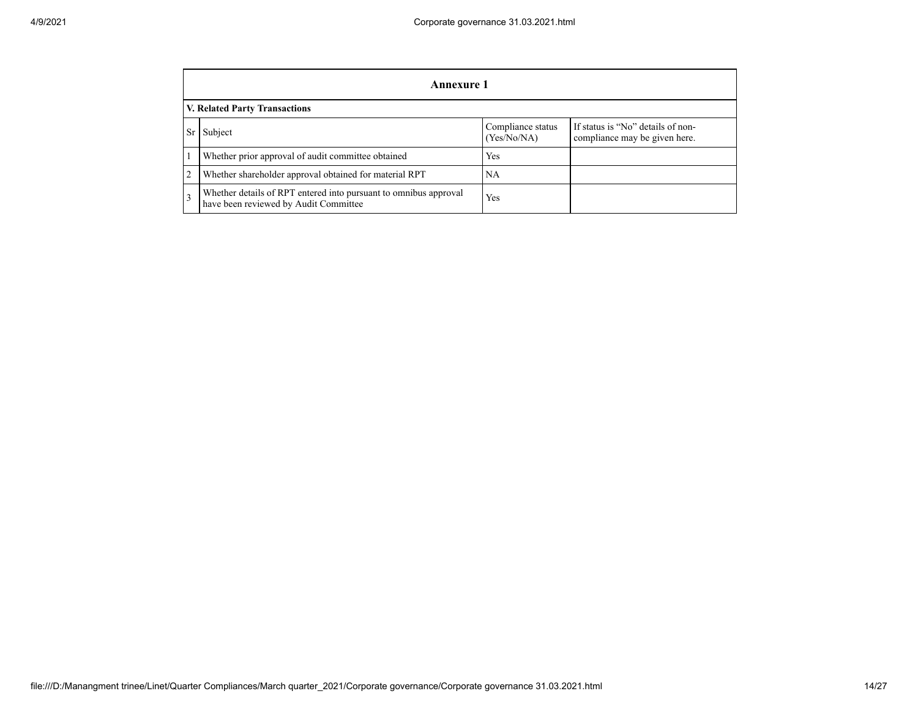|                | <b>Annexure 1</b>                                                                                         |                                  |                                                                    |  |  |  |
|----------------|-----------------------------------------------------------------------------------------------------------|----------------------------------|--------------------------------------------------------------------|--|--|--|
|                | <b>V. Related Party Transactions</b>                                                                      |                                  |                                                                    |  |  |  |
| Sr             | Subject                                                                                                   | Compliance status<br>(Yes/No/NA) | If status is "No" details of non-<br>compliance may be given here. |  |  |  |
|                | Whether prior approval of audit committee obtained                                                        | Yes                              |                                                                    |  |  |  |
| $\overline{2}$ | Whether shareholder approval obtained for material RPT                                                    | NA                               |                                                                    |  |  |  |
|                | Whether details of RPT entered into pursuant to omnibus approval<br>have been reviewed by Audit Committee | Yes                              |                                                                    |  |  |  |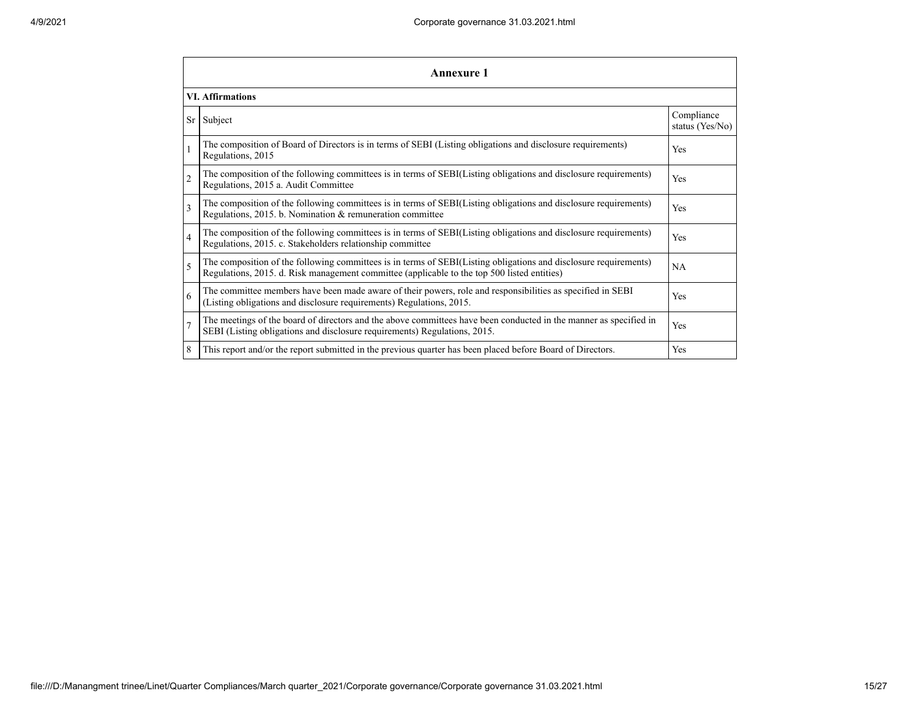|                | <b>Annexure 1</b>                                                                                                                                                                                               |                               |  |  |  |  |
|----------------|-----------------------------------------------------------------------------------------------------------------------------------------------------------------------------------------------------------------|-------------------------------|--|--|--|--|
|                | <b>VI. Affirmations</b>                                                                                                                                                                                         |                               |  |  |  |  |
| Sr             | Subject                                                                                                                                                                                                         | Compliance<br>status (Yes/No) |  |  |  |  |
|                | The composition of Board of Directors is in terms of SEBI (Listing obligations and disclosure requirements)<br>Regulations, 2015                                                                                | Yes                           |  |  |  |  |
| $\overline{2}$ | The composition of the following committees is in terms of SEBI(Listing obligations and disclosure requirements)<br>Regulations, 2015 a. Audit Committee                                                        | Yes                           |  |  |  |  |
| 3              | The composition of the following committees is in terms of SEBI(Listing obligations and disclosure requirements)<br>Regulations, 2015. b. Nomination & remuneration committee                                   | Yes                           |  |  |  |  |
| $\overline{4}$ | The composition of the following committees is in terms of SEBI(Listing obligations and disclosure requirements)<br>Regulations, 2015. c. Stakeholders relationship committee                                   | Yes                           |  |  |  |  |
| 5              | The composition of the following committees is in terms of SEBI(Listing obligations and disclosure requirements)<br>Regulations, 2015. d. Risk management committee (applicable to the top 500 listed entities) | NA                            |  |  |  |  |
| 6              | The committee members have been made aware of their powers, role and responsibilities as specified in SEBI<br>(Listing obligations and disclosure requirements) Regulations, 2015.                              | Yes                           |  |  |  |  |
| $\overline{7}$ | The meetings of the board of directors and the above committees have been conducted in the manner as specified in<br>SEBI (Listing obligations and disclosure requirements) Regulations, 2015.                  | Yes                           |  |  |  |  |
| 8              | This report and/or the report submitted in the previous quarter has been placed before Board of Directors.                                                                                                      | Yes                           |  |  |  |  |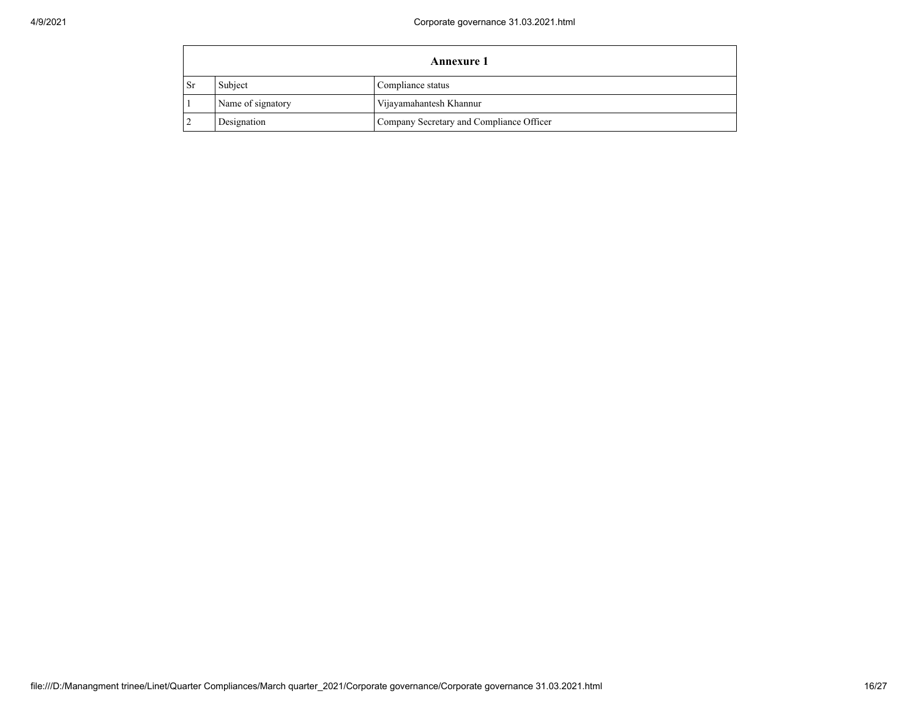|      | <b>Annexure 1</b> |                                          |  |  |  |
|------|-------------------|------------------------------------------|--|--|--|
| - Sr | Subject           | Compliance status                        |  |  |  |
|      | Name of signatory | Vijayamahantesh Khannur                  |  |  |  |
|      | Designation       | Company Secretary and Compliance Officer |  |  |  |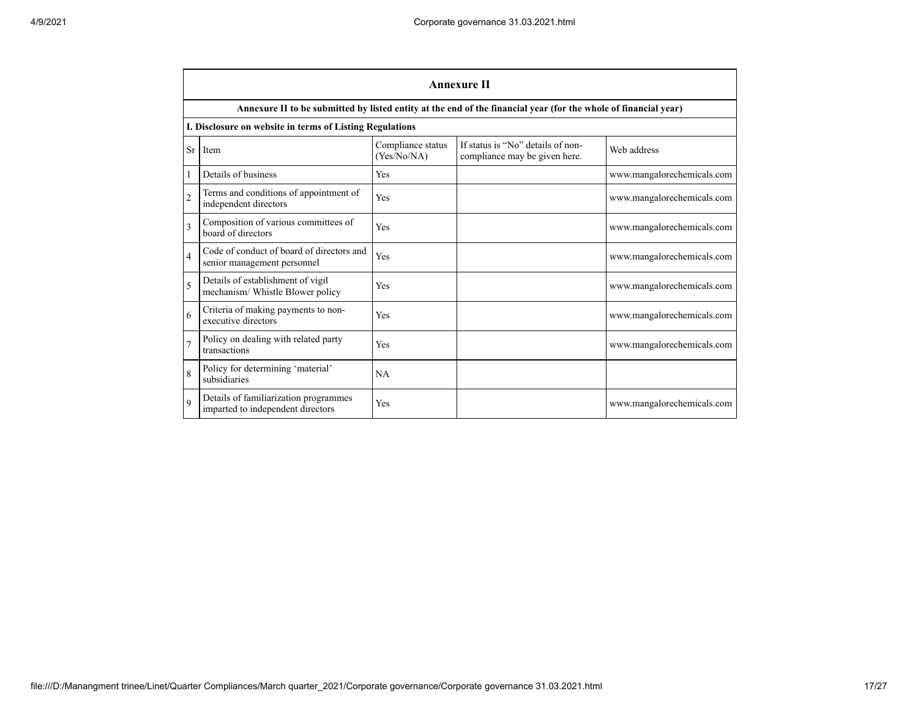|                          | <b>Annexure II</b>                                                         |                                  |                                                                                                                 |                            |  |  |
|--------------------------|----------------------------------------------------------------------------|----------------------------------|-----------------------------------------------------------------------------------------------------------------|----------------------------|--|--|
|                          |                                                                            |                                  | Annexure II to be submitted by listed entity at the end of the financial year (for the whole of financial year) |                            |  |  |
|                          | I. Disclosure on website in terms of Listing Regulations                   |                                  |                                                                                                                 |                            |  |  |
| <b>Sr</b>                | Item                                                                       | Compliance status<br>(Yes/No/NA) | If status is "No" details of non-<br>compliance may be given here.                                              | Web address                |  |  |
| $\mathbf{1}$             | Details of business                                                        | <b>Yes</b>                       |                                                                                                                 | www.mangalorechemicals.com |  |  |
| $\overline{2}$           | Terms and conditions of appointment of<br>independent directors            | Yes                              |                                                                                                                 | www.mangalorechemicals.com |  |  |
| $\overline{3}$           | Composition of various committees of<br>board of directors                 | Yes                              |                                                                                                                 | www.mangalorechemicals.com |  |  |
| $\overline{4}$           | Code of conduct of board of directors and<br>senior management personnel   | Yes                              |                                                                                                                 | www.mangalorechemicals.com |  |  |
| $\overline{\phantom{0}}$ | Details of establishment of vigil<br>mechanism/ Whistle Blower policy      | Yes                              |                                                                                                                 | www.mangalorechemicals.com |  |  |
| 6                        | Criteria of making payments to non-<br>executive directors                 | Yes                              |                                                                                                                 | www.mangalorechemicals.com |  |  |
| $\overline{7}$           | Policy on dealing with related party<br>transactions                       | Yes                              |                                                                                                                 | www.mangalorechemicals.com |  |  |
| 8                        | Policy for determining 'material'<br>subsidiaries                          | NA                               |                                                                                                                 |                            |  |  |
| $\mathbf{Q}$             | Details of familiarization programmes<br>imparted to independent directors | Yes                              |                                                                                                                 | www.mangalorechemicals.com |  |  |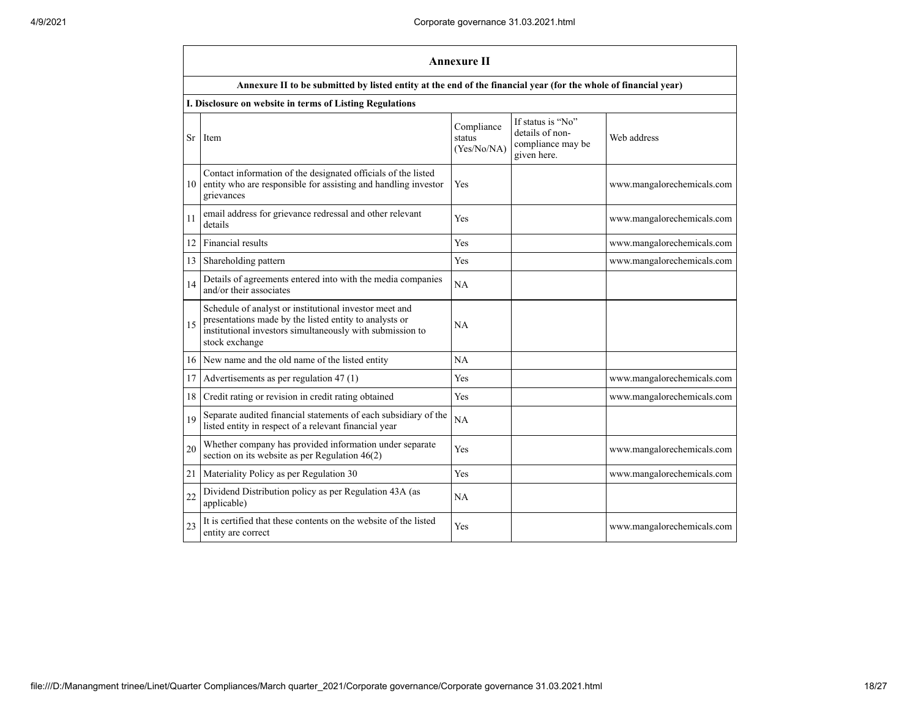|           | <b>Annexure II</b>                                                                                                                                                                              |                                     |                                                                          |                            |  |  |  |
|-----------|-------------------------------------------------------------------------------------------------------------------------------------------------------------------------------------------------|-------------------------------------|--------------------------------------------------------------------------|----------------------------|--|--|--|
|           | Annexure II to be submitted by listed entity at the end of the financial year (for the whole of financial year)                                                                                 |                                     |                                                                          |                            |  |  |  |
|           | I. Disclosure on website in terms of Listing Regulations                                                                                                                                        |                                     |                                                                          |                            |  |  |  |
| <b>Sr</b> | Item                                                                                                                                                                                            | Compliance<br>status<br>(Yes/No/NA) | If status is "No"<br>details of non-<br>compliance may be<br>given here. | Web address                |  |  |  |
| 10        | Contact information of the designated officials of the listed<br>entity who are responsible for assisting and handling investor<br>grievances                                                   | Yes                                 |                                                                          | www.mangalorechemicals.com |  |  |  |
| 11        | email address for grievance redressal and other relevant<br>details                                                                                                                             | Yes                                 |                                                                          | www.mangalorechemicals.com |  |  |  |
| 12        | Financial results                                                                                                                                                                               | Yes                                 |                                                                          | www.mangalorechemicals.com |  |  |  |
| 13        | Shareholding pattern                                                                                                                                                                            | Yes                                 |                                                                          | www.mangalorechemicals.com |  |  |  |
| 14        | Details of agreements entered into with the media companies<br>and/or their associates                                                                                                          | NA                                  |                                                                          |                            |  |  |  |
| 15        | Schedule of analyst or institutional investor meet and<br>presentations made by the listed entity to analysts or<br>institutional investors simultaneously with submission to<br>stock exchange | <b>NA</b>                           |                                                                          |                            |  |  |  |
| 16        | New name and the old name of the listed entity                                                                                                                                                  | NA                                  |                                                                          |                            |  |  |  |
| 17        | Advertisements as per regulation 47 (1)                                                                                                                                                         | Yes                                 |                                                                          | www.mangalorechemicals.com |  |  |  |
| 18        | Credit rating or revision in credit rating obtained                                                                                                                                             | Yes                                 |                                                                          | www.mangalorechemicals.com |  |  |  |
| 19        | Separate audited financial statements of each subsidiary of the<br>listed entity in respect of a relevant financial year                                                                        | NA                                  |                                                                          |                            |  |  |  |
| 20        | Whether company has provided information under separate<br>section on its website as per Regulation $46(2)$                                                                                     | Yes                                 |                                                                          | www.mangalorechemicals.com |  |  |  |
| 21        | Materiality Policy as per Regulation 30                                                                                                                                                         | Yes                                 |                                                                          | www.mangalorechemicals.com |  |  |  |
| 22        | Dividend Distribution policy as per Regulation 43A (as<br>applicable)                                                                                                                           | NA                                  |                                                                          |                            |  |  |  |
| 23        | It is certified that these contents on the website of the listed<br>entity are correct                                                                                                          | Yes                                 |                                                                          | www.mangalorechemicals.com |  |  |  |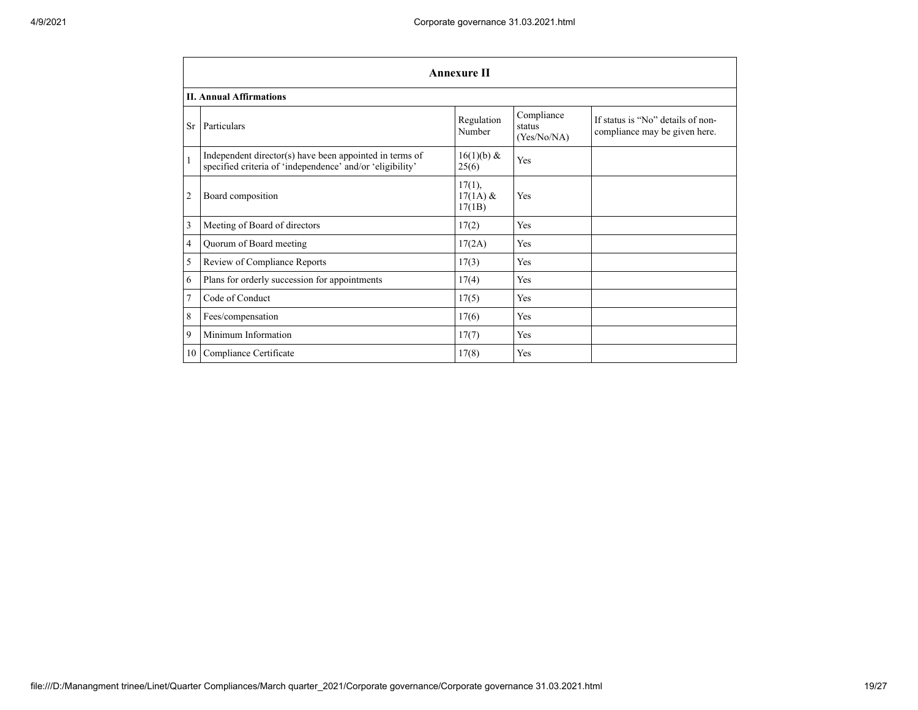|                | <b>Annexure II</b>                                                                                                   |                                |                                     |                                                                    |  |  |
|----------------|----------------------------------------------------------------------------------------------------------------------|--------------------------------|-------------------------------------|--------------------------------------------------------------------|--|--|
|                | <b>II. Annual Affirmations</b>                                                                                       |                                |                                     |                                                                    |  |  |
| <b>Sr</b>      | Particulars                                                                                                          | Regulation<br>Number           | Compliance<br>status<br>(Yes/No/NA) | If status is "No" details of non-<br>compliance may be given here. |  |  |
|                | Independent director(s) have been appointed in terms of<br>specified criteria of 'independence' and/or 'eligibility' | $16(1)(b)$ &<br>25(6)          | Yes                                 |                                                                    |  |  |
| $\overline{2}$ | Board composition                                                                                                    | 17(1),<br>$17(1A)$ &<br>17(1B) | Yes                                 |                                                                    |  |  |
| 3              | Meeting of Board of directors                                                                                        | 17(2)                          | Yes                                 |                                                                    |  |  |
| 4              | Quorum of Board meeting                                                                                              | 17(2A)                         | Yes                                 |                                                                    |  |  |
| 5              | Review of Compliance Reports                                                                                         | 17(3)                          | Yes                                 |                                                                    |  |  |
| 6              | Plans for orderly succession for appointments                                                                        | 17(4)                          | Yes                                 |                                                                    |  |  |
| $\overline{7}$ | Code of Conduct                                                                                                      | 17(5)                          | Yes                                 |                                                                    |  |  |
| 8              | Fees/compensation                                                                                                    | 17(6)                          | Yes                                 |                                                                    |  |  |
| 9              | Minimum Information                                                                                                  | 17(7)                          | Yes                                 |                                                                    |  |  |
| 10             | Compliance Certificate                                                                                               | 17(8)                          | Yes                                 |                                                                    |  |  |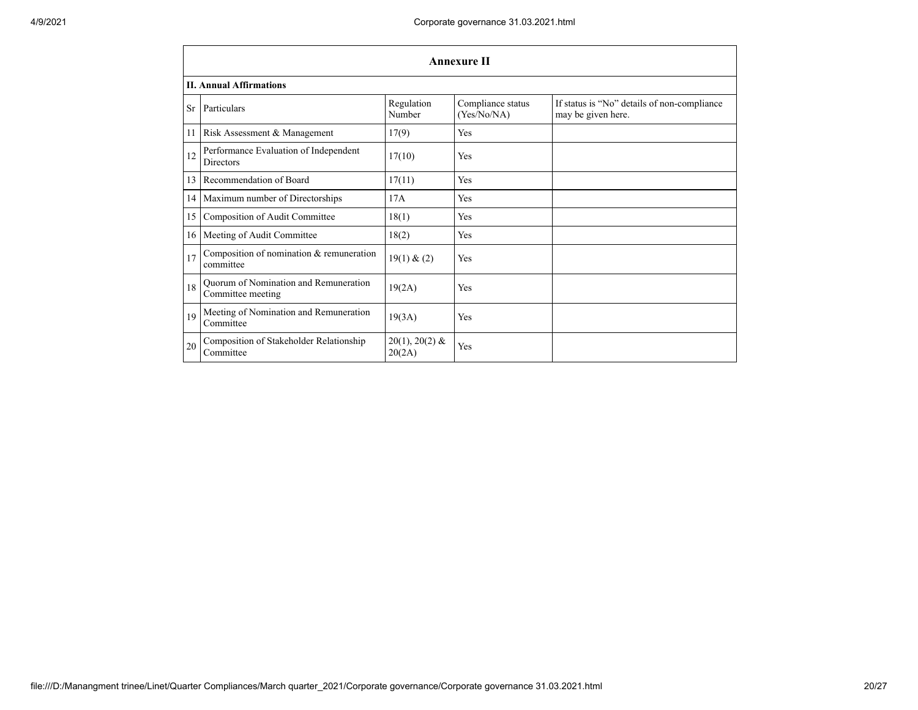|                 | <b>Annexure II</b>                                         |                            |                                  |                                                                   |  |  |  |
|-----------------|------------------------------------------------------------|----------------------------|----------------------------------|-------------------------------------------------------------------|--|--|--|
|                 | <b>II. Annual Affirmations</b>                             |                            |                                  |                                                                   |  |  |  |
| <b>Sr</b>       | Particulars                                                | Regulation<br>Number       | Compliance status<br>(Yes/No/NA) | If status is "No" details of non-compliance<br>may be given here. |  |  |  |
| 11              | Risk Assessment & Management                               | 17(9)                      | Yes                              |                                                                   |  |  |  |
| 12              | Performance Evaluation of Independent<br><b>Directors</b>  | 17(10)                     | Yes                              |                                                                   |  |  |  |
| 13              | Recommendation of Board                                    | 17(11)                     | Yes                              |                                                                   |  |  |  |
| 14 <sup>1</sup> | Maximum number of Directorships                            | 17A                        | Yes                              |                                                                   |  |  |  |
| 15              | Composition of Audit Committee                             | 18(1)                      | Yes                              |                                                                   |  |  |  |
|                 | 16   Meeting of Audit Committee                            | 18(2)                      | Yes                              |                                                                   |  |  |  |
| 17              | Composition of nomination $&$ remuneration<br>committee    | 19(1) & (2)                | Yes                              |                                                                   |  |  |  |
| 18              | Quorum of Nomination and Remuneration<br>Committee meeting | 19(2A)                     | Yes                              |                                                                   |  |  |  |
| 19              | Meeting of Nomination and Remuneration<br>Committee        | 19(3A)                     | Yes                              |                                                                   |  |  |  |
| 20              | Composition of Stakeholder Relationship<br>Committee       | $20(1), 20(2)$ &<br>20(2A) | Yes                              |                                                                   |  |  |  |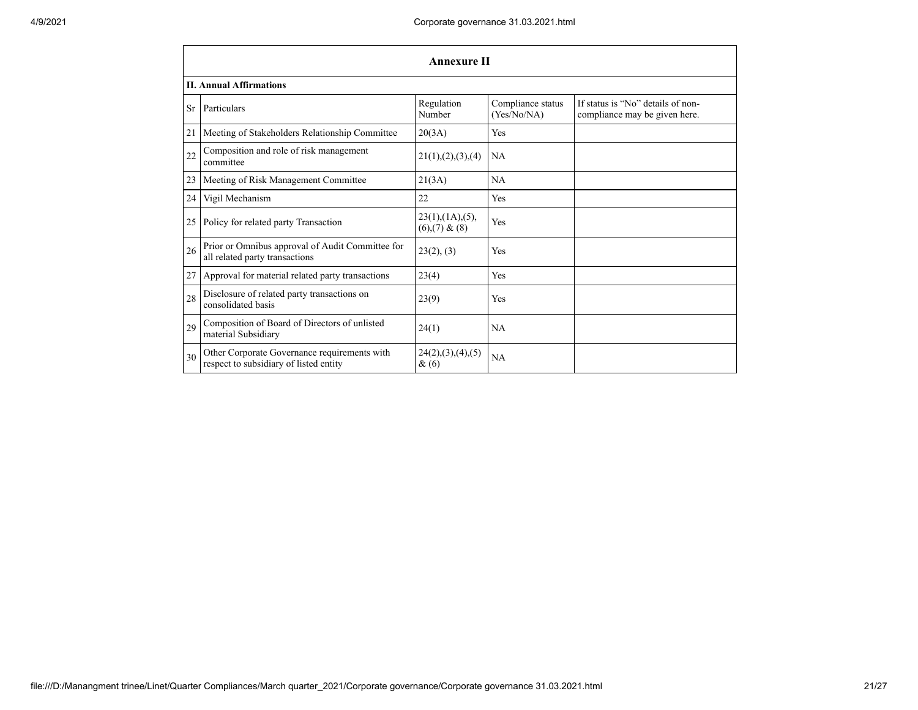|    | <b>Annexure II</b>                                                                     |                                            |                                  |                                                                    |  |  |  |  |
|----|----------------------------------------------------------------------------------------|--------------------------------------------|----------------------------------|--------------------------------------------------------------------|--|--|--|--|
|    | <b>II. Annual Affirmations</b>                                                         |                                            |                                  |                                                                    |  |  |  |  |
| Sr | Particulars                                                                            | Regulation<br>Number                       | Compliance status<br>(Yes/No/NA) | If status is "No" details of non-<br>compliance may be given here. |  |  |  |  |
| 21 | Meeting of Stakeholders Relationship Committee                                         | 20(3A)                                     | Yes                              |                                                                    |  |  |  |  |
| 22 | Composition and role of risk management<br>committee                                   | 21(1), (2), (3), (4)                       | NA                               |                                                                    |  |  |  |  |
| 23 | Meeting of Risk Management Committee                                                   | 21(3A)                                     | NA                               |                                                                    |  |  |  |  |
| 24 | Vigil Mechanism                                                                        | 22                                         | Yes                              |                                                                    |  |  |  |  |
| 25 | Policy for related party Transaction                                                   | $23(1)$ , $(1A)$ , $(5)$ ,<br>(6)(7) & (8) | Yes                              |                                                                    |  |  |  |  |
| 26 | Prior or Omnibus approval of Audit Committee for<br>all related party transactions     | 23(2), (3)                                 | <b>Yes</b>                       |                                                                    |  |  |  |  |
| 27 | Approval for material related party transactions                                       | 23(4)                                      | Yes                              |                                                                    |  |  |  |  |
| 28 | Disclosure of related party transactions on<br>consolidated basis                      | 23(9)                                      | Yes                              |                                                                    |  |  |  |  |
| 29 | Composition of Board of Directors of unlisted<br>material Subsidiary                   | 24(1)                                      | NA                               |                                                                    |  |  |  |  |
| 30 | Other Corporate Governance requirements with<br>respect to subsidiary of listed entity | 24(2), (3), (4), (5)<br>$\&(6)$            | <b>NA</b>                        |                                                                    |  |  |  |  |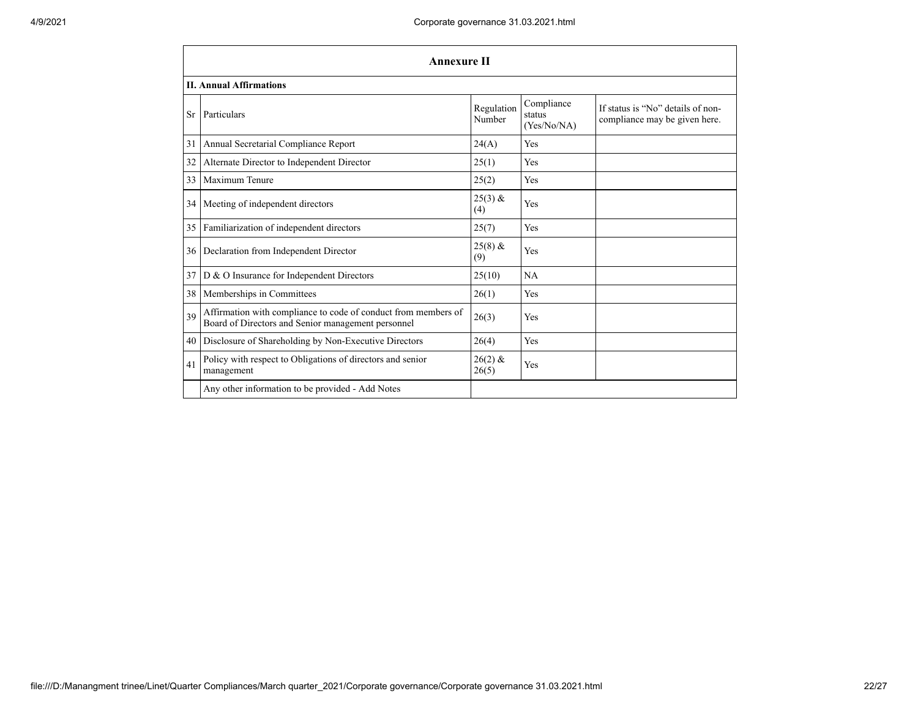|           | <b>Annexure II</b>                                                                                                   |                      |                                     |                                                                    |  |  |  |
|-----------|----------------------------------------------------------------------------------------------------------------------|----------------------|-------------------------------------|--------------------------------------------------------------------|--|--|--|
|           | <b>II. Annual Affirmations</b>                                                                                       |                      |                                     |                                                                    |  |  |  |
| <b>Sr</b> | Particulars                                                                                                          | Regulation<br>Number | Compliance<br>status<br>(Yes/No/NA) | If status is "No" details of non-<br>compliance may be given here. |  |  |  |
| 31        | Annual Secretarial Compliance Report                                                                                 | 24(A)                | Yes                                 |                                                                    |  |  |  |
| 32        | Alternate Director to Independent Director                                                                           | 25(1)                | Yes                                 |                                                                    |  |  |  |
| 33        | Maximum Tenure                                                                                                       | 25(2)                | Yes                                 |                                                                    |  |  |  |
| 34        | Meeting of independent directors                                                                                     | $25(3)$ &<br>(4)     | Yes                                 |                                                                    |  |  |  |
| 35        | Familiarization of independent directors                                                                             | 25(7)                | Yes                                 |                                                                    |  |  |  |
| 36        | Declaration from Independent Director                                                                                | $25(8)$ &<br>(9)     | Yes                                 |                                                                    |  |  |  |
| 37        | D & O Insurance for Independent Directors                                                                            | 25(10)               | <b>NA</b>                           |                                                                    |  |  |  |
| 38        | Memberships in Committees                                                                                            | 26(1)                | Yes                                 |                                                                    |  |  |  |
| 39        | Affirmation with compliance to code of conduct from members of<br>Board of Directors and Senior management personnel | 26(3)                | Yes                                 |                                                                    |  |  |  |
| 40        | Disclosure of Shareholding by Non-Executive Directors                                                                | 26(4)                | Yes                                 |                                                                    |  |  |  |
| 41        | Policy with respect to Obligations of directors and senior<br>management                                             | $26(2)$ &<br>26(5)   | Yes                                 |                                                                    |  |  |  |
|           | Any other information to be provided - Add Notes                                                                     |                      |                                     |                                                                    |  |  |  |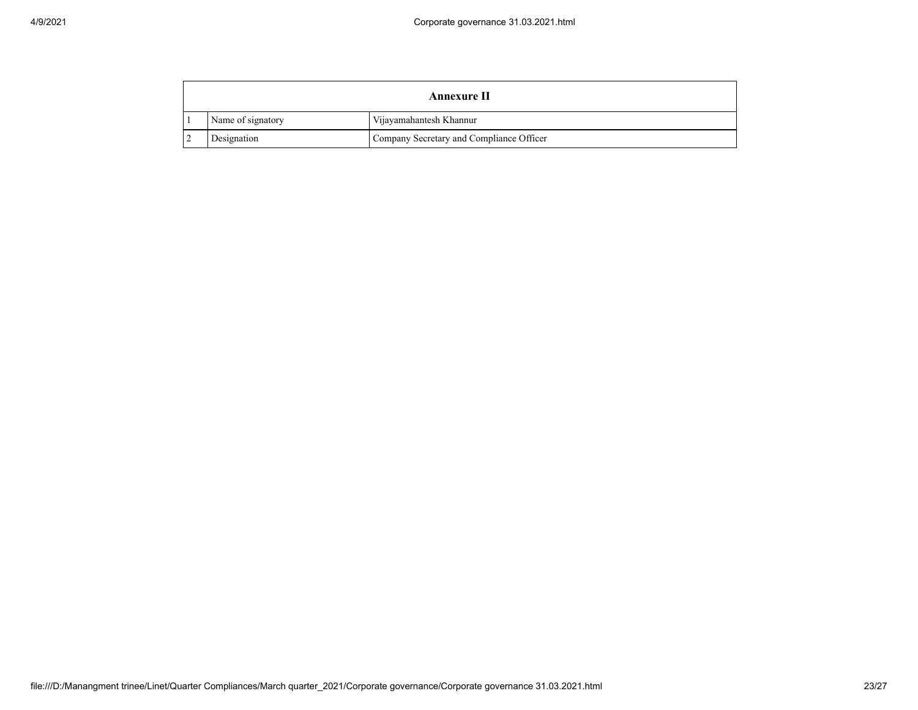| Annexure II |                   |                                          |
|-------------|-------------------|------------------------------------------|
|             | Name of signatory | Vijayamahantesh Khannur                  |
|             | Designation       | Company Secretary and Compliance Officer |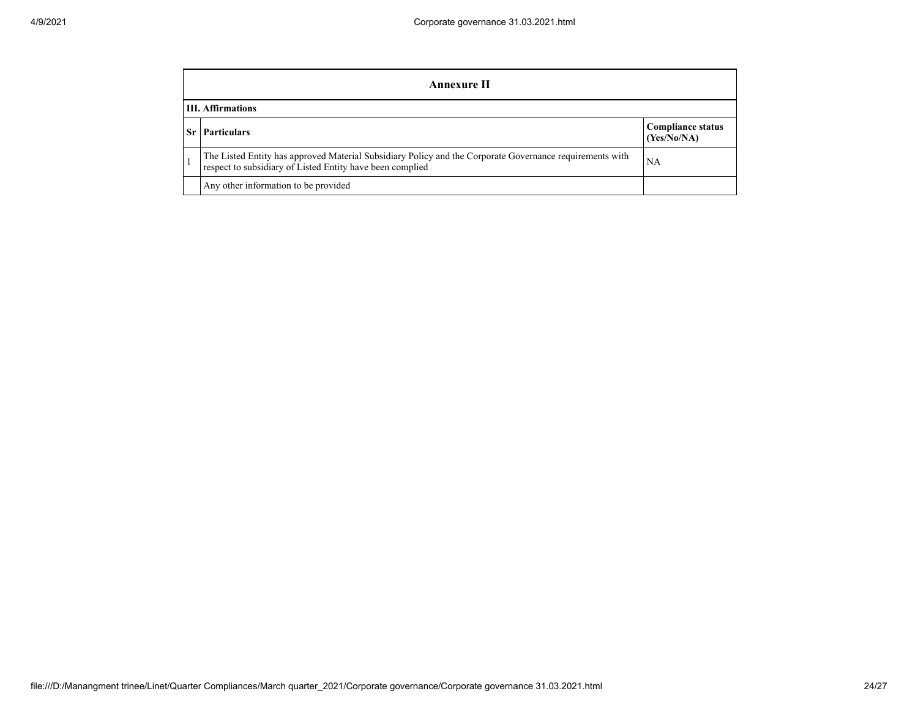| Annexure II                                                                                                                                                           |                                         |  |  |  |
|-----------------------------------------------------------------------------------------------------------------------------------------------------------------------|-----------------------------------------|--|--|--|
| <b>III.</b> Affirmations                                                                                                                                              |                                         |  |  |  |
| <b>Particulars</b>                                                                                                                                                    | <b>Compliance status</b><br>(Yes/No/NA) |  |  |  |
| The Listed Entity has approved Material Subsidiary Policy and the Corporate Governance requirements with<br>respect to subsidiary of Listed Entity have been complied | NA                                      |  |  |  |
| Any other information to be provided                                                                                                                                  |                                         |  |  |  |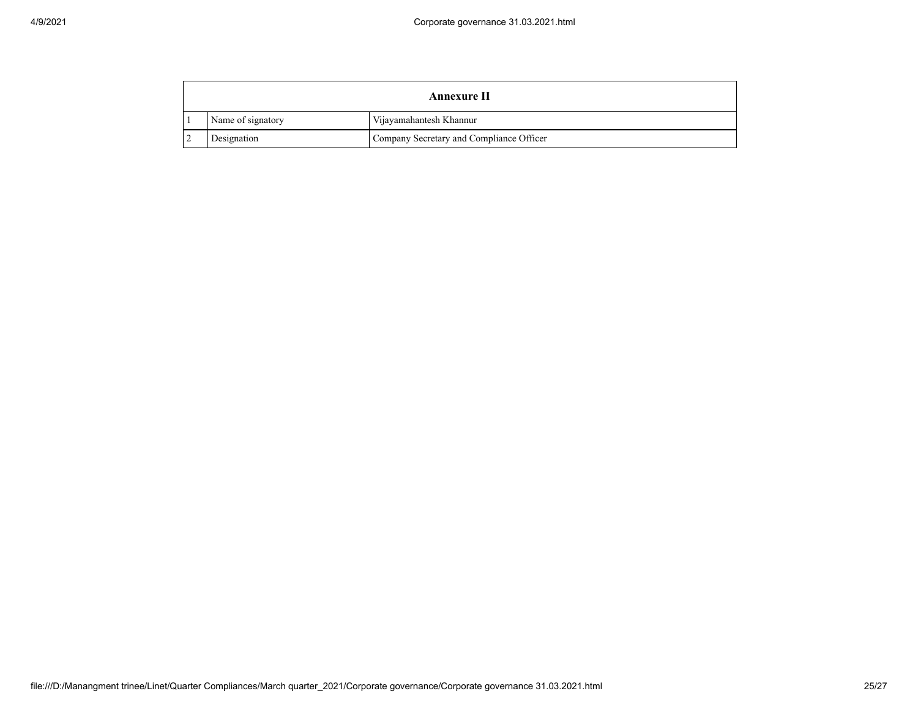| Annexure II |                   |                                          |
|-------------|-------------------|------------------------------------------|
|             | Name of signatory | Vijayamahantesh Khannur                  |
|             | Designation       | Company Secretary and Compliance Officer |